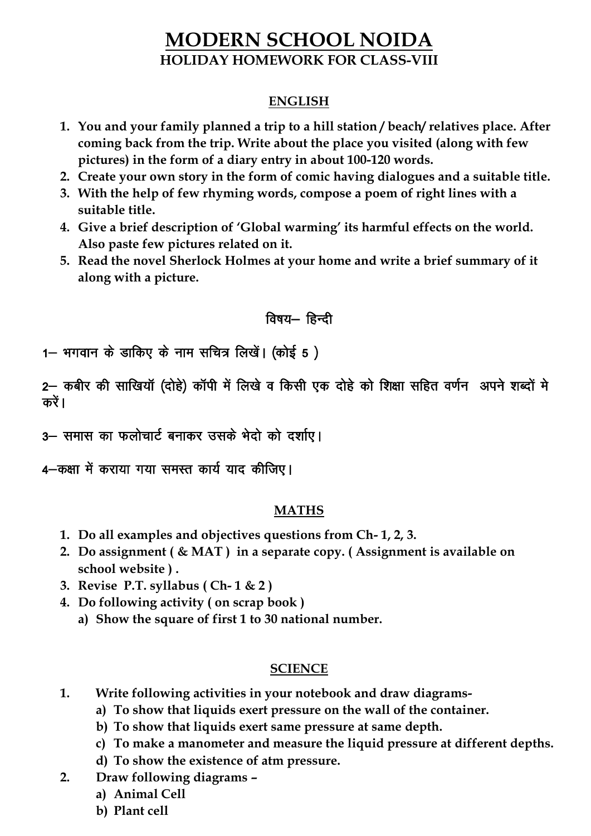# **MODERN SCHOOL NOIDA HOLIDAY HOMEWORK FOR CLASS-VIII**

#### **ENGLISH**

- **1. You and your family planned a trip to a hill station / beach/ relatives place. After coming back from the trip. Write about the place you visited (along with few pictures) in the form of a diary entry in about 100-120 words.**
- **2. Create your own story in the form of comic having dialogues and a suitable title.**
- **3. With the help of few rhyming words, compose a poem of right lines with a suitable title.**
- **4. Give a brief description of 'Global warming' its harmful effects on the world. Also paste few pictures related on it.**
- **5. Read the novel Sherlock Holmes at your home and write a brief summary of it along with a picture.**

### विषय- हिन्दी

1– भगवान के डाकिए के नाम सचित्र लिखें। (कोई 5 )

2– कबीर की साखियाँ (दोहे) काँपी में लिखे व किसी एक दोहे को शिक्षा सहित वर्णन अपने शब्दों मे करें ।

3– समास का फलोचार्ट बनाकर उसके भेदो को दर्शाए।

4 - कक्षा में कराया गया समस्त कार्य याद कीजिए।

### **MATHS**

- **1. Do all examples and objectives questions from Ch- 1, 2, 3.**
- **2. Do assignment ( & MAT ) in a separate copy. ( Assignment is available on school website ) .**
- **3. Revise P.T. syllabus ( Ch- 1 & 2 )**
- **4. Do following activity ( on scrap book )** 
	- **a) Show the square of first 1 to 30 national number.**

#### **SCIENCE**

- **1. Write following activities in your notebook and draw diagrams**
	- **a) To show that liquids exert pressure on the wall of the container.**
	- **b) To show that liquids exert same pressure at same depth.**
	- **c) To make a manometer and measure the liquid pressure at different depths.**
	- **d) To show the existence of atm pressure.**
- **2. Draw following diagrams –**
	- **a) Animal Cell**
	- **b) Plant cell**